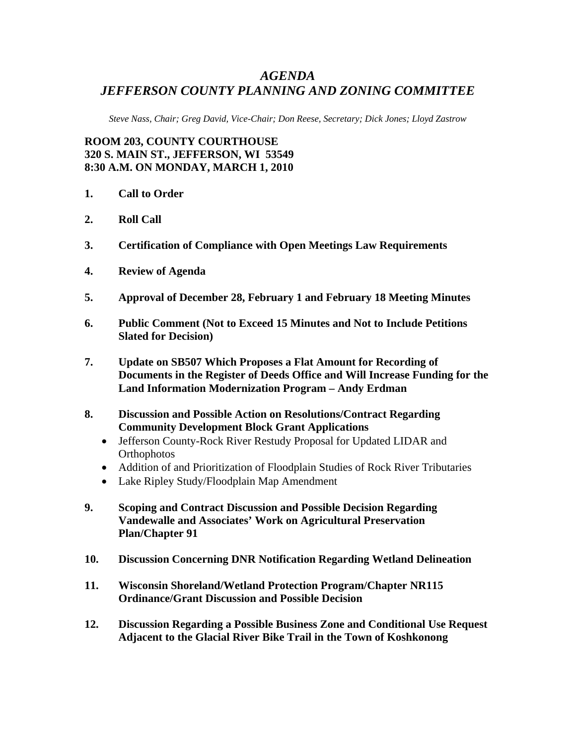## *AGENDA JEFFERSON COUNTY PLANNING AND ZONING COMMITTEE*

*Steve Nass, Chair; Greg David, Vice-Chair; Don Reese, Secretary; Dick Jones; Lloyd Zastrow* 

**ROOM 203, COUNTY COURTHOUSE 320 S. MAIN ST., JEFFERSON, WI 53549 8:30 A.M. ON MONDAY, MARCH 1, 2010** 

- **1. Call to Order**
- **2. Roll Call**
- **3. Certification of Compliance with Open Meetings Law Requirements**
- **4. Review of Agenda**
- **5. Approval of December 28, February 1 and February 18 Meeting Minutes**
- **6. Public Comment (Not to Exceed 15 Minutes and Not to Include Petitions Slated for Decision)**
- **7. Update on SB507 Which Proposes a Flat Amount for Recording of Documents in the Register of Deeds Office and Will Increase Funding for the Land Information Modernization Program – Andy Erdman**
- **8. Discussion and Possible Action on Resolutions/Contract Regarding Community Development Block Grant Applications** 
	- Jefferson County-Rock River Restudy Proposal for Updated LIDAR and **Orthophotos**
	- Addition of and Prioritization of Floodplain Studies of Rock River Tributaries
	- Lake Ripley Study/Floodplain Map Amendment
- **9. Scoping and Contract Discussion and Possible Decision Regarding Vandewalle and Associates' Work on Agricultural Preservation Plan/Chapter 91**
- **10. Discussion Concerning DNR Notification Regarding Wetland Delineation**
- **11. Wisconsin Shoreland/Wetland Protection Program/Chapter NR115 Ordinance/Grant Discussion and Possible Decision**
- **12. Discussion Regarding a Possible Business Zone and Conditional Use Request Adjacent to the Glacial River Bike Trail in the Town of Koshkonong**